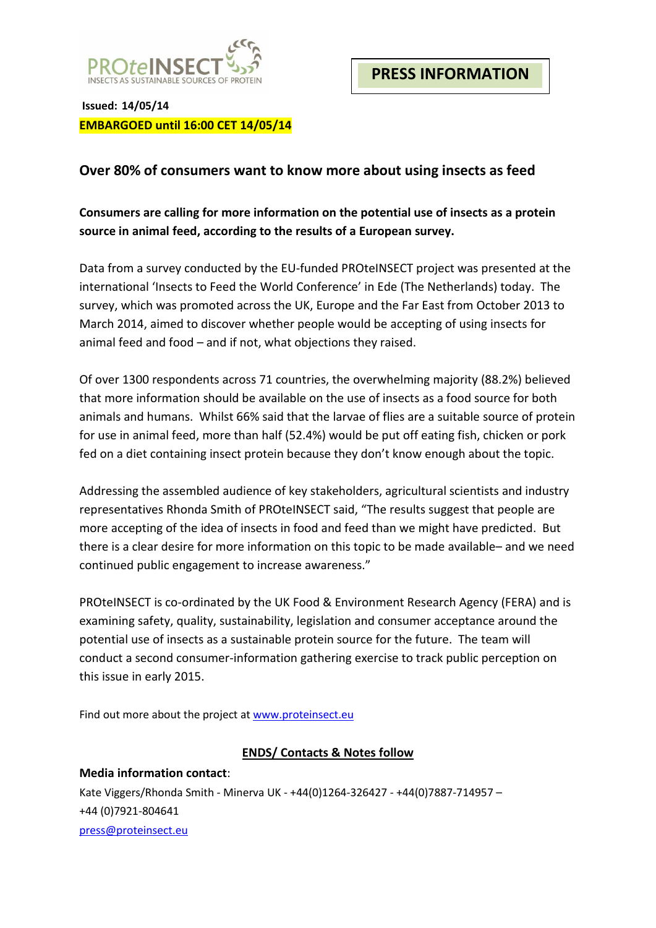

**Issued: 14/05/14 EMBARGOED until 16:00 CET 14/05/14**

## **Over 80% of consumers want to know more about using insects as feed**

**Consumers are calling for more information on the potential use of insects as a protein source in animal feed, according to the results of a European survey.**

Data from a survey conducted by the EU-funded PROteINSECT project was presented at the international 'Insects to Feed the World Conference' in Ede (The Netherlands) today. The survey, which was promoted across the UK, Europe and the Far East from October 2013 to March 2014, aimed to discover whether people would be accepting of using insects for animal feed and food – and if not, what objections they raised.

Of over 1300 respondents across 71 countries, the overwhelming majority (88.2%) believed that more information should be available on the use of insects as a food source for both animals and humans. Whilst 66% said that the larvae of flies are a suitable source of protein for use in animal feed, more than half (52.4%) would be put off eating fish, chicken or pork fed on a diet containing insect protein because they don't know enough about the topic.

Addressing the assembled audience of key stakeholders, agricultural scientists and industry representatives Rhonda Smith of PROteINSECT said, "The results suggest that people are more accepting of the idea of insects in food and feed than we might have predicted. But there is a clear desire for more information on this topic to be made available– and we need continued public engagement to increase awareness."

PROteINSECT is co-ordinated by the UK Food & Environment Research Agency (FERA) and is examining safety, quality, sustainability, legislation and consumer acceptance around the potential use of insects as a sustainable protein source for the future. The team will conduct a second consumer-information gathering exercise to track public perception on this issue in early 2015.

Find out more about the project at [www.proteinsect.eu](http://www.proteinsect.eu/)

## **ENDS/ Contacts & Notes follow**

**Media information contact**: Kate Viggers/Rhonda Smith - Minerva UK - +44(0)1264-326427 - +44(0)7887-714957 – +44 (0)7921-804641 [press@proteinsect.eu](mailto:press@proteinsect.eu)